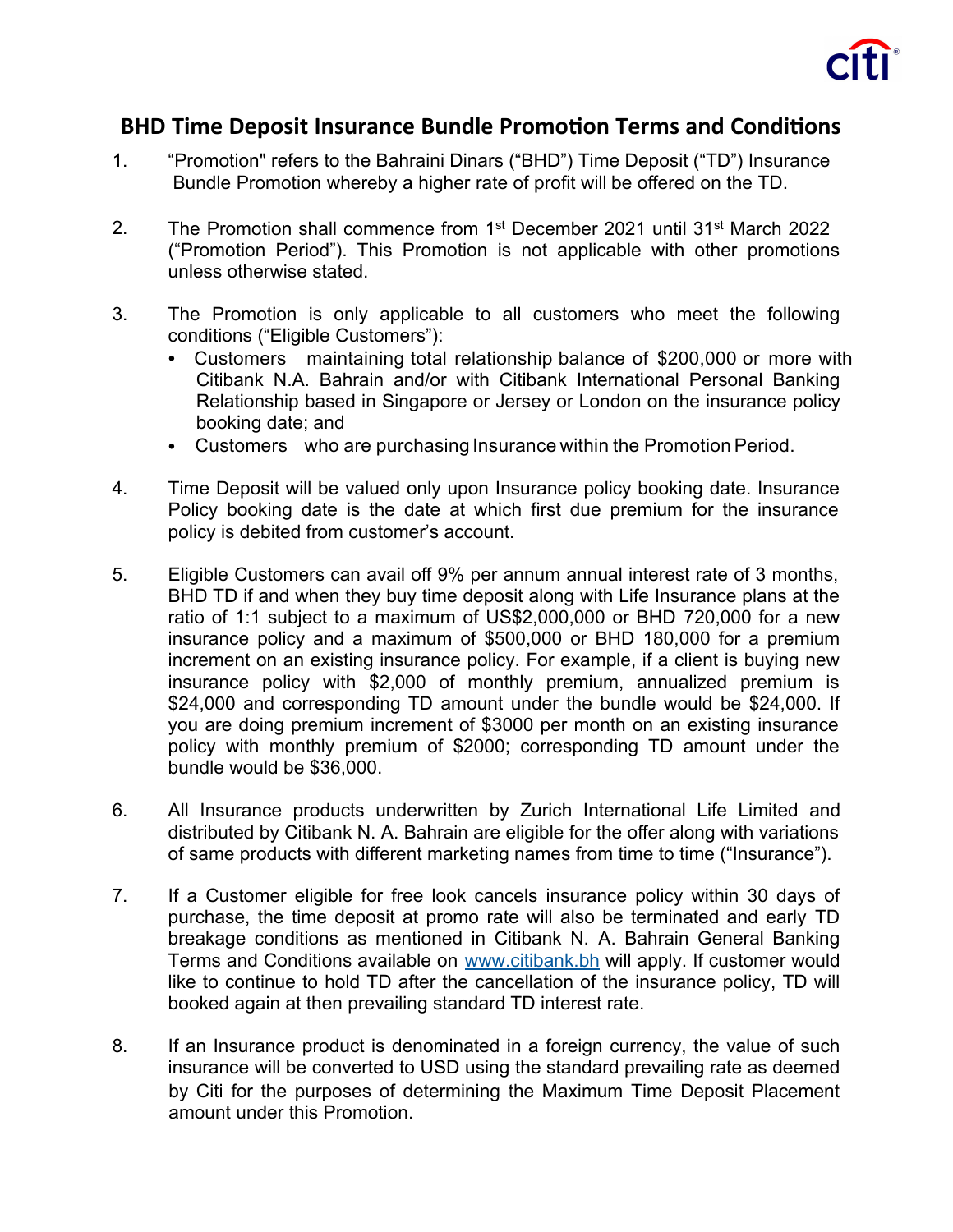

## **BHD Time Deposit Insurance Bundle Promotion Terms and Conditions**

- 1. "Promotion" refers to the Bahraini Dinars ("BHD") Time Deposit ("TD") Insurance Bundle Promotion whereby a higher rate of profit will be offered on the TD.
- The Promotion shall commence from 1<sup>st</sup> December 2021 until 31<sup>st</sup> March 2022 ("Promotion Period"). This Promotion is not applicable with other promotions unless otherwise stated. 2.
- 3. The Promotion is only applicable to all customers who meet the following conditions ("Eligible Customers"):
	- Customers maintaining total relationship balance of \$200,000 or more with Citibank N.A. Bahrain and/or with Citibank International Personal Banking Relationship based in Singapore or Jersey or London on the insurance policy booking date; and
	- Customers who are purchasing Insurance within the Promotion Period.
- 4. Time Deposit will be valued only upon Insurance policy booking date. Insurance Policy booking date is the date at which first due premium for the insurance policy is debited from customer's account.
- 5. Eligible Customers can avail off 9% per annum annual interest rate of 3 months, BHD TD if and when they buy time deposit along with Life Insurance plans at the ratio of 1:1 subject to a maximum of US\$2,000,000 or BHD 720,000 for a new insurance policy and a maximum of \$500,000 or BHD 180,000 for a premium increment on an existing insurance policy. For example, if a client is buying new insurance policy with \$2,000 of monthly premium, annualized premium is \$24,000 and corresponding TD amount under the bundle would be \$24,000. If you are doing premium increment of \$3000 per month on an existing insurance policy with monthly premium of \$2000; corresponding TD amount under the bundle would be \$36,000.
- 6. All Insurance products underwritten by Zurich International Life Limited and distributed by Citibank N. A. Bahrain are eligible for the offer along with variations of same products with different marketing names from time to time ("Insurance").
- 7. If a Customer eligible for free look cancels insurance policy within 30 days of purchase, the time deposit at promo rate will also be terminated and early TD breakage conditions as mentioned in Citibank N. A. Bahrain General Banking Terms and Conditions available on [www.citibank.bh](https://www.citibank.bh) will apply. If customer would like to continue to hold TD after the cancellation of the insurance policy, TD will booked again at then prevailing standard TD interest rate.
- 8. If an Insurance product is denominated in a foreign currency, the value of such insurance will be converted to USD using the standard prevailing rate as deemed by Citi for the purposes of determining the Maximum Time Deposit Placement amount under this Promotion.